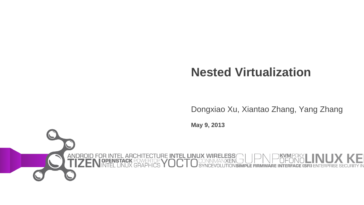### **Nested Virtualization**

Dongxiao Xu, Xiantao Zhang, Yang Zhang

**May 9, 2013**

.ESS

**ANDROI**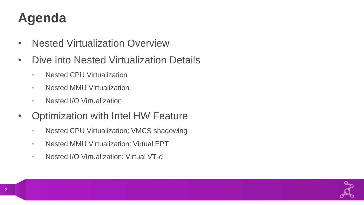### **Agenda**

- Nested Virtualization Overview
- Dive into Nested Virtualization Details
	- Nested CPU Virtualization
	- Nested MMU Virtualization
	- Nested I/O Virtualization
- Optimization with Intel HW Feature
	- Nested CPU Virtualization: VMCS shadowing
	- Nested MMU Virtualization: Virtual EPT
	- Nested I/O Virtualization: Virtual VT-d

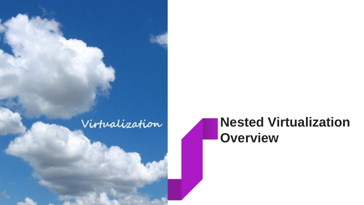

### **Nested Virtualization Overview**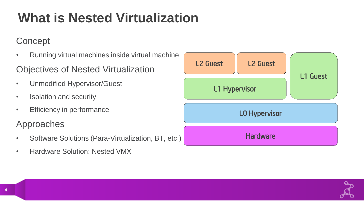# **What is Nested Virtualization**

### **Concept**

- Running virtual machines inside virtual machine
- Objectives of Nested Virtualization
- Unmodified Hypervisor/Guest
- Isolation and security
- Efficiency in performance

### Approaches

- Software Solutions (Para-Virtualization, BT, etc.)
- Hardware Solution: Nested VMX

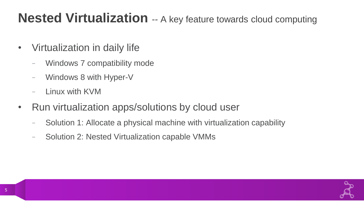### **Nested Virtualization** -- A key feature towards cloud computing

- Virtualization in daily life
	- Windows 7 compatibility mode
	- Windows 8 with Hyper-V
	- Linux with KVM
- Run virtualization apps/solutions by cloud user
	- Solution 1: Allocate a physical machine with virtualization capability
	- Solution 2: Nested Virtualization capable VMMs

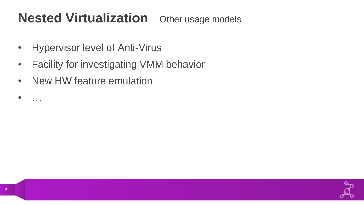### **Nested Virtualization** – Other usage models

- Hypervisor level of Anti-Virus
- Facility for investigating VMM behavior
- New HW feature emulation

• …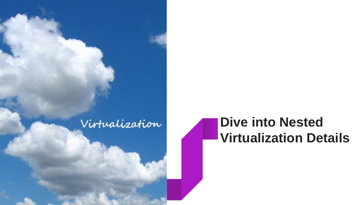### Virtualization

### **Dive into Nested Virtualization Details**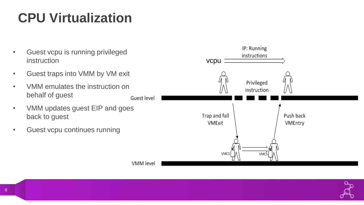# **CPU Virtualization**

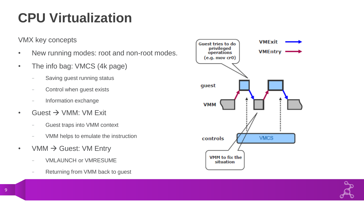### **CPU Virtualization**

VMX key concepts

- New running modes: root and non-root modes.
- The info bag: VMCS (4k page)
	- Saving guest running status
	- Control when guest exists
	- Information exchange
- Guest  $\rightarrow$  VMM: VM Exit
	- Guest traps into VMM context
	- VMM helps to emulate the instruction
- VMM  $\rightarrow$  Guest: VM Entry
	- VMLAUNCH or VMRESUME
	- Returning from VMM back to guest

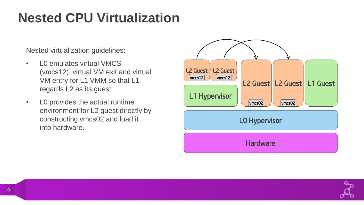### **Nested CPU Virtualization**

Nested virtualization guidelines:

- L0 emulates virtual VMCS (vmcs12), virtual VM exit and virtual VM entry for L1 VMM so that L1 regards L2 as its guest.
- L0 provides the actual runtime environment for L2 guest directly by constructing vmcs02 and load it into hardware.



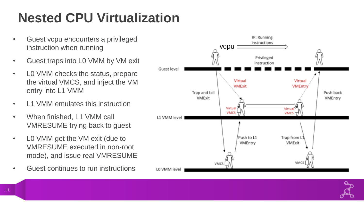# **Nested CPU Virtualization**

- Guest vcpu encounters a privileged instruction when running
- Guest traps into L0 VMM by VM exit
- L0 VMM checks the status, prepare the virtual VMCS, and inject the VM entry into L1 VMM
- L1 VMM emulates this instruction
- When finished, L1 VMM call VMRESUME trying back to guest
- L0 VMM get the VM exit (due to VMRESUME executed in non-root mode), and issue real VMRESUME
- Guest continues to run instructions

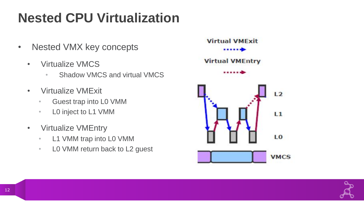# **Nested CPU Virtualization**

- Nested VMX key concepts
	- Virtualize VMCS
		- Shadow VMCS and virtual VMCS
	- Virtualize VMExit
		- Guest trap into L0 VMM
		- L0 inject to L1 VMM
	- Virtualize VMEntry
		- L1 VMM trap into L0 VMM
		- LO VMM return back to L2 guest



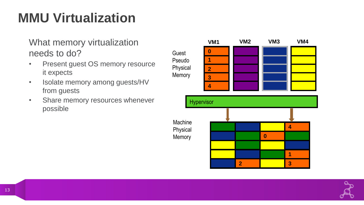### **MMU Virtualization**

#### What memory virtualization needs to do?

- Present guest OS memory resource it expects
- Isolate memory among guests/HV from guests
- Share memory resources whenever possible



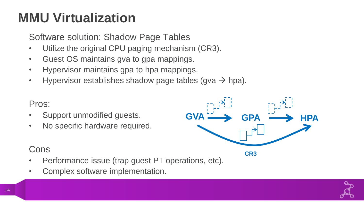### **MMU Virtualization**

Software solution: Shadow Page Tables

- Utilize the original CPU paging mechanism (CR3).
- Guest OS maintains gva to gpa mappings.
- Hypervisor maintains gpa to hpa mappings.
- Hypervisor establishes shadow page tables (gva  $\rightarrow$  hpa).

#### Pros:

- Support unmodified guests.
- No specific hardware required.



- Performance issue (trap guest PT operations, etc).
- Complex software implementation.

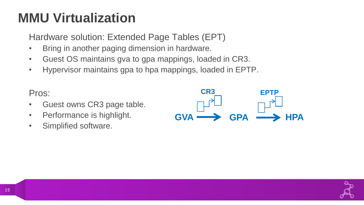### **MMU Virtualization**

Hardware solution: Extended Page Tables (EPT)

- Bring in another paging dimension in hardware.
- Guest OS maintains gva to gpa mappings, loaded in CR3.
- Hypervisor maintains gpa to hpa mappings, loaded in EPTP.



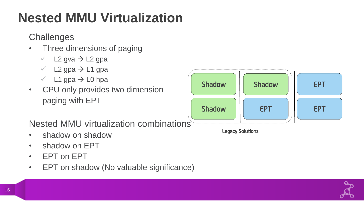# **Nested MMU Virtualization**

**Challenges** 

- Three dimensions of paging
	- $\checkmark$  L2 gva  $\to$  L2 gpa
	- $\checkmark$  L2 gpa  $\to$  L1 gpa
	- $\checkmark$  L1 gpa  $\to$  L0 hpa
- CPU only provides two dimension paging with EPT

Nested MMU virtualization combinations

- shadow on shadow
- shadow on EPT
- EPT on EPT
- EPT on shadow (No valuable significance)



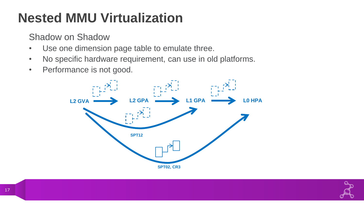## **Nested MMU Virtualization**

Shadow on Shadow

- Use one dimension page table to emulate three.
- No specific hardware requirement, can use in old platforms.
- Performance is not good.



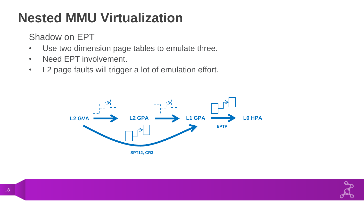# **Nested MMU Virtualization**

Shadow on EPT

- Use two dimension page tables to emulate three.
- Need EPT involvement.
- L2 page faults will trigger a lot of emulation effort.



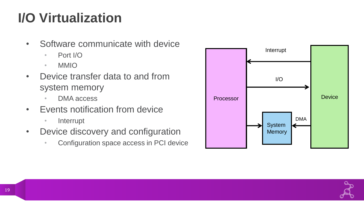- Software communicate with device
	- Port I/O
	- MMIO
- Device transfer data to and from system memory
	- DMA access
- Events notification from device
	- Interrupt
- Device discovery and configuration
	- Configuration space access in PCI device



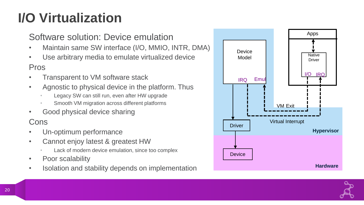### Software solution: Device emulation

- Maintain same SW interface (I/O, MMIO, INTR, DMA)
- Use arbitrary media to emulate virtualized device

#### Pros

- Transparent to VM software stack
- Agnostic to physical device in the platform. Thus
	- Legacy SW can still run, even after HW upgrade
	- Smooth VM migration across different platforms
- Good physical device sharing

- Un-optimum performance
- Cannot enjoy latest & greatest HW
	- Lack of modern device emulation, since too complex
- Poor scalability
- Isolation and stability depends on implementation



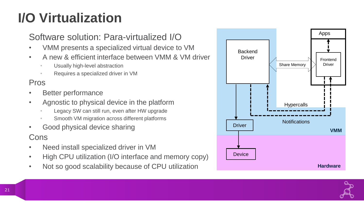### Software solution: Para-virtualized I/O

- VMM presents a specialized virtual device to VM
- A new & efficient interface between VMM & VM driver
	- Usually high-level abstraction
	- Requires a specialized driver in VM

#### Pros

- Better performance
- Agnostic to physical device in the platform
	- Legacy SW can still run, even after HW upgrade
	- Smooth VM migration across different platforms
- Good physical device sharing

- Need install specialized driver in VM
- High CPU utilization (I/O interface and memory copy)
- Not so good scalability because of CPU utilization



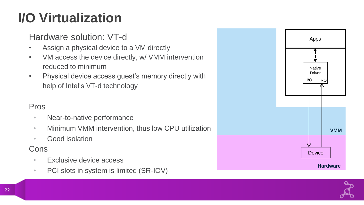### Hardware solution: VT-d

- Assign a physical device to a VM directly
- VM access the device directly, w/ VMM intervention reduced to minimum
- Physical device access guest's memory directly with help of Intel's VT-d technology

#### Pros

- Near-to-native performance
- Minimum VMM intervention, thus low CPU utilization
- Good isolation

- Exclusive device access
- PCI slots in system is limited (SR-IOV)



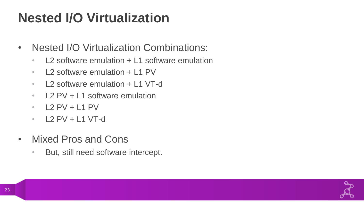### **Nested I/O Virtualization**

- Nested I/O Virtualization Combinations:
	- L2 software emulation + L1 software emulation
	- L2 software emulation + L1 PV
	- L2 software emulation + L1 VT-d
	- L2 PV + L1 software emulation
	- $\cdot$  12 PV + 11 PV
	- $\cdot$  L2 PV + L1 VT-d
- Mixed Pros and Cons
	- But, still need software intercept.

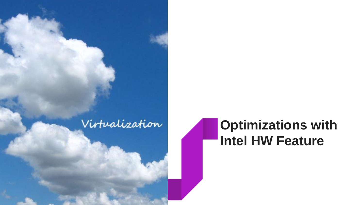

### **Optimizations with Intel HW Feature**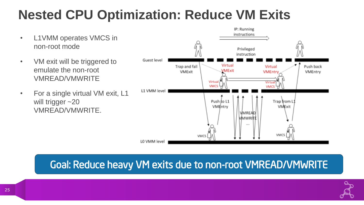## **Nested CPU Optimization: Reduce VM Exits**

- L1VMM operates VMCS in non-root mode
- VM exit will be triggered to emulate the non-root VMREAD/VMWRITE
- For a single virtual VM exit, L1 will trigger ~20 VMREAD/VMWRITE.



### Goal: Reduce heavy VM exits due to non-root VMREAD/VMWRITE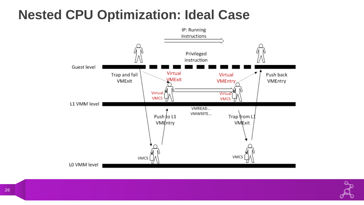### **Nested CPU Optimization: Ideal Case**



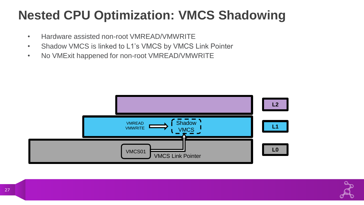### **Nested CPU Optimization: VMCS Shadowing**

- Hardware assisted non-root VMREAD/VMWRITE
- Shadow VMCS is linked to L1's VMCS by VMCS Link Pointer
- No VMExit happened for non-root VMREAD/VMWRITE



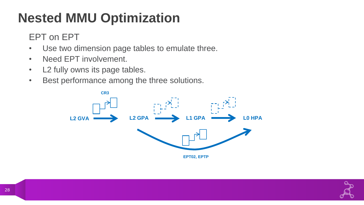# **Nested MMU Optimization**

EPT on EPT

- Use two dimension page tables to emulate three.
- Need EPT involvement.
- L2 fully owns its page tables.
- Best performance among the three solutions.



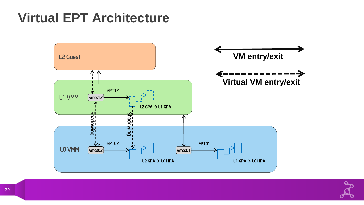### **Virtual EPT Architecture**



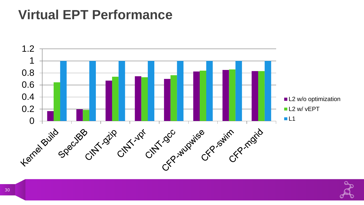### **Virtual EPT Performance**



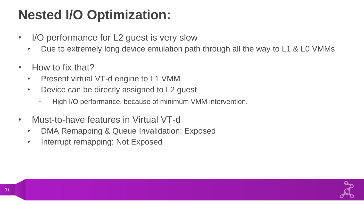### **Nested I/O Optimization:**

- I/O performance for L2 guest is very slow
	- Due to extremely long device emulation path through all the way to L1 & L0 VMMs
- How to fix that?
	- Present virtual VT-d engine to L1 VMM
	- Device can be directly assigned to L2 guest
		- High I/O performance, because of minimum VMM intervention.
- Must-to-have features in Virtual VT-d
	- DMA Remapping & Queue Invalidation: Exposed
	- Interrupt remapping: Not Exposed

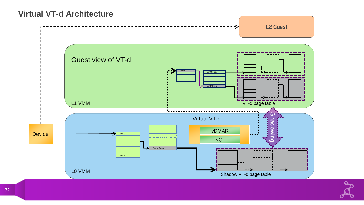#### **Virtual VT-d Architecture**

![](_page_31_Figure_1.jpeg)

![](_page_31_Picture_2.jpeg)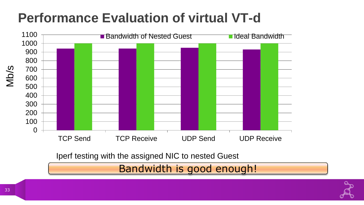### **Performance Evaluation of virtual VT-d**

![](_page_32_Figure_1.jpeg)

Bandwidth is good enough!